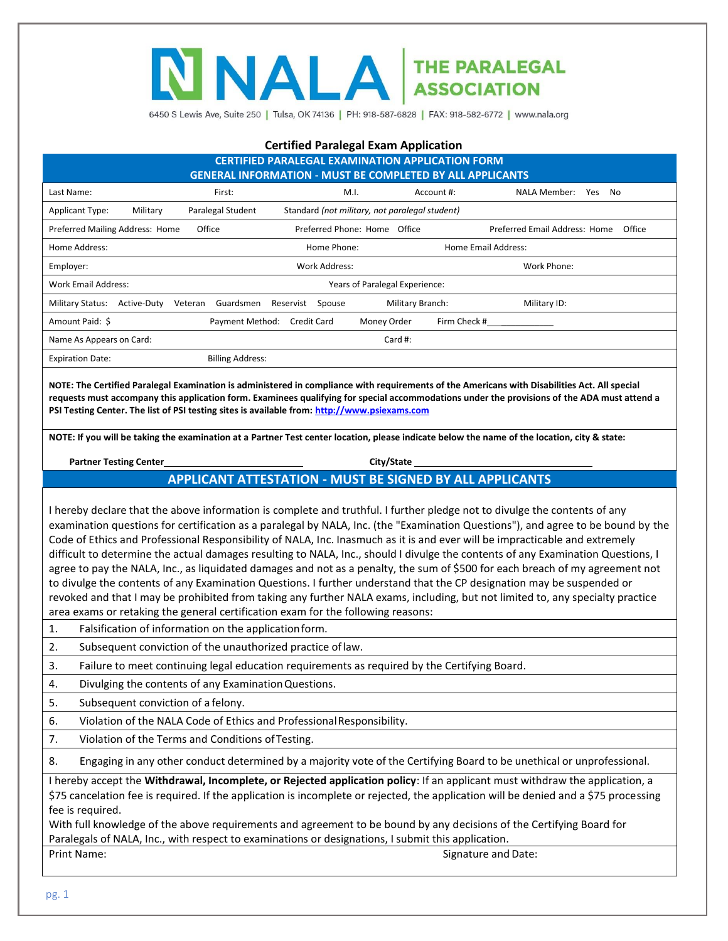# NALA THE PARALEGAL

6450 S Lewis Ave, Suite 250 | Tulsa, OK 74136 | PH: 918-587-6828 | FAX: 918-582-6772 | www.nala.org

#### **Certified Paralegal Exam Application**

| <b>CERTIFIED PARALEGAL EXAMINATION APPLICATION FORM</b><br><b>GENERAL INFORMATION - MUST BE COMPLETED BY ALL APPLICANTS</b> |                         |                                                |                  |                                         |  |  |
|-----------------------------------------------------------------------------------------------------------------------------|-------------------------|------------------------------------------------|------------------|-----------------------------------------|--|--|
| Last Name:                                                                                                                  | First:                  | M.I.                                           | Account #:       | NALA Member:<br>Yes<br>No.              |  |  |
| Military<br><b>Applicant Type:</b>                                                                                          | Paralegal Student       | Standard (not military, not paralegal student) |                  |                                         |  |  |
| Preferred Mailing Address: Home                                                                                             | Office                  | Preferred Phone: Home Office                   |                  | Preferred Email Address: Home<br>Office |  |  |
| Home Address:                                                                                                               |                         | Home Phone:                                    |                  | Home Email Address:                     |  |  |
| Employer:                                                                                                                   | Work Address:           |                                                |                  | Work Phone:                             |  |  |
| Work Email Address:<br>Years of Paralegal Experience:                                                                       |                         |                                                |                  |                                         |  |  |
| <b>Military Status:</b><br>Active-Duty                                                                                      | Guardsmen<br>Veteran    | Reservist<br>Spouse                            | Military Branch: | Military ID:                            |  |  |
| Amount Paid: \$                                                                                                             | Payment Method:         | Money Order<br><b>Credit Card</b>              | Firm Check #     |                                         |  |  |
| Name As Appears on Card:                                                                                                    |                         |                                                | Card #:          |                                         |  |  |
| <b>Expiration Date:</b>                                                                                                     | <b>Billing Address:</b> |                                                |                  |                                         |  |  |

**NOTE: The Certified Paralegal Examination is administered in compliance with requirements of the Americans with Disabilities Act. All special requests must accompany this application form. Examinees qualifying for special accommodations under the provisions of the ADA must attend a PSI Testing Center. The list of PSI testing sites is available from[: http://www.psiexams.com](http://www.psiexams.com/)**

**NOTE: If you will be taking the examination at a Partner Test center location, please indicate below the name of the location, city & state:**

| <b>Partner Testing Center</b> |                                                                 | City/State |  |
|-------------------------------|-----------------------------------------------------------------|------------|--|
|                               | <b>APPLICANT ATTESTATION - MUST BE SIGNED BY ALL APPLICANTS</b> |            |  |

I hereby declare that the above information is complete and truthful. I further pledge not to divulge the contents of any examination questions for certification as a paralegal by NALA, Inc. (the "Examination Questions"), and agree to be bound by the Code of Ethics and Professional Responsibility of NALA, Inc. Inasmuch as it is and ever will be impracticable and extremely difficult to determine the actual damages resulting to NALA, Inc., should I divulge the contents of any Examination Questions, I agree to pay the NALA, Inc., as liquidated damages and not as a penalty, the sum of \$500 for each breach of my agreement not to divulge the contents of any Examination Questions. I further understand that the CP designation may be suspended or revoked and that I may be prohibited from taking any further NALA exams, including, but not limited to, any specialty practice area exams or retaking the general certification exam for the following reasons:

- 1. Falsification of information on the applicationform.
- 2. Subsequent conviction of the unauthorized practice oflaw.
- 3. Failure to meet continuing legal education requirements as required by the Certifying Board.
- 4. Divulging the contents of any ExaminationQuestions.
- 5. Subsequent conviction of a felony.
- 6. Violation of the NALA Code of Ethics and ProfessionalResponsibility.
- 7. Violation of the Terms and Conditions ofTesting.

8. Engaging in any other conduct determined by a majority vote of the Certifying Board to be unethical or unprofessional.

I hereby accept the **Withdrawal, Incomplete, or Rejected application policy**: If an applicant must withdraw the application, a \$75 cancelation fee is required. If the application is incomplete or rejected, the application will be denied and a \$75 processing fee is required.

With full knowledge of the above requirements and agreement to be bound by any decisions of the Certifying Board for Paralegals of NALA, Inc., with respect to examinations or designations, I submit this application.

Print Name: Signature and Date: Signature and Date: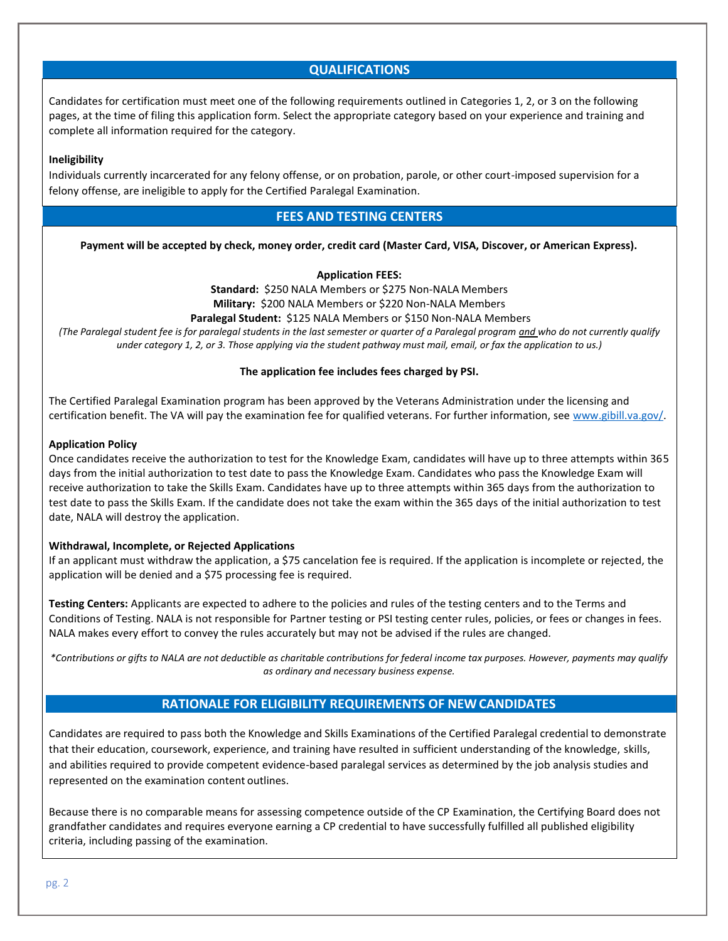# **QUALIFICATIONS**

Candidates for certification must meet one of the following requirements outlined in Categories 1, 2, or 3 on the following pages, at the time of filing this application form. Select the appropriate category based on your experience and training and complete all information required for the category.

#### **Ineligibility**

Individuals currently incarcerated for any felony offense, or on probation, parole, or other court-imposed supervision for a felony offense, are ineligible to apply for the Certified Paralegal Examination.

# **FEES AND TESTING CENTERS**

**Payment will be accepted by check, money order, credit card (Master Card, VISA, Discover, or American Express).**

#### **Application FEES:**

**Standard:** \$250 NALA Members or \$275 Non-NALA Members **Military:** \$200 NALA Members or \$220 Non-NALA Members

**Paralegal Student:** \$125 NALA Members or \$150 Non-NALA Members *(The Paralegal student fee is for paralegal students in the last semester or quarter of a Paralegal program and who do not currently qualify under category 1, 2, or 3. Those applying via the student pathway must mail, email, or fax the application to us.)*

# **The application fee includes fees charged by PSI.**

The Certified Paralegal Examination program has been approved by the Veterans Administration under the licensing and certification benefit. The VA will pay the examination fee for qualified veterans. For further information, see [www.gibill.va.gov/.](http://www.gibill.va.gov/)

#### **Application Policy**

Once candidates receive the authorization to test for the Knowledge Exam, candidates will have up to three attempts within 365 days from the initial authorization to test date to pass the Knowledge Exam. Candidates who pass the Knowledge Exam will receive authorization to take the Skills Exam. Candidates have up to three attempts within 365 days from the authorization to test date to pass the Skills Exam. If the candidate does not take the exam within the 365 days of the initial authorization to test date, NALA will destroy the application.

#### **Withdrawal, Incomplete, or Rejected Applications**

If an applicant must withdraw the application, a \$75 cancelation fee is required. If the application is incomplete or rejected, the application will be denied and a \$75 processing fee is required.

**Testing Centers:** Applicants are expected to adhere to the policies and rules of the testing centers and to the Terms and Conditions of Testing. NALA is not responsible for Partner testing or PSI testing center rules, policies, or fees or changes in fees. NALA makes every effort to convey the rules accurately but may not be advised if the rules are changed.

*\*Contributions or gifts to NALA are not deductible as charitable contributions for federal income tax purposes. However, payments may qualify as ordinary and necessary business expense.*

# **RATIONALE FOR ELIGIBILITY REQUIREMENTS OF NEWCANDIDATES**

Candidates are required to pass both the Knowledge and Skills Examinations of the Certified Paralegal credential to demonstrate that their education, coursework, experience, and training have resulted in sufficient understanding of the knowledge, skills, and abilities required to provide competent evidence-based paralegal services as determined by the job analysis studies and represented on the examination content outlines.

Because there is no comparable means for assessing competence outside of the CP Examination, the Certifying Board does not grandfather candidates and requires everyone earning a CP credential to have successfully fulfilled all published eligibility criteria, including passing of the examination.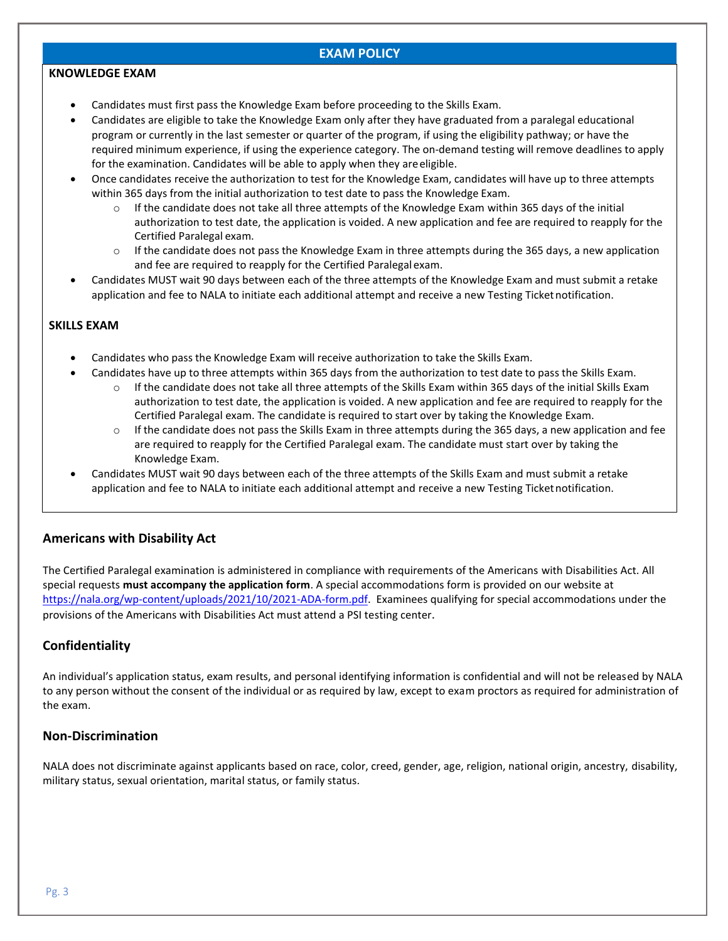# **EXAM POLICY**

#### **KNOWLEDGE EXAM**

- Candidates must first pass the Knowledge Exam before proceeding to the Skills Exam.
- Candidates are eligible to take the Knowledge Exam only after they have graduated from a paralegal educational program or currently in the last semester or quarter of the program, if using the eligibility pathway; or have the required minimum experience, if using the experience category. The on-demand testing will remove deadlines to apply for the examination. Candidates will be able to apply when they areeligible.
- Once candidates receive the authorization to test for the Knowledge Exam, candidates will have up to three attempts within 365 days from the initial authorization to test date to pass the Knowledge Exam.
	- $\circ$  If the candidate does not take all three attempts of the Knowledge Exam within 365 days of the initial authorization to test date, the application is voided. A new application and fee are required to reapply for the Certified Paralegal exam.
	- $\circ$  If the candidate does not pass the Knowledge Exam in three attempts during the 365 days, a new application and fee are required to reapply for the Certified Paralegal exam.
- Candidates MUST wait 90 days between each of the three attempts of the Knowledge Exam and must submit a retake application and fee to NALA to initiate each additional attempt and receive a new Testing Ticketnotification.

# **SKILLS EXAM**

- Candidates who pass the Knowledge Exam will receive authorization to take the Skills Exam.
- Candidates have up to three attempts within 365 days from the authorization to test date to pass the Skills Exam.
	- $\circ$  If the candidate does not take all three attempts of the Skills Exam within 365 days of the initial Skills Exam authorization to test date, the application is voided. A new application and fee are required to reapply for the Certified Paralegal exam. The candidate is required to start over by taking the Knowledge Exam.
	- $\circ$  If the candidate does not pass the Skills Exam in three attempts during the 365 days, a new application and fee are required to reapply for the Certified Paralegal exam. The candidate must start over by taking the Knowledge Exam.
- Candidates MUST wait 90 days between each of the three attempts of the Skills Exam and must submit a retake application and fee to NALA to initiate each additional attempt and receive a new Testing Ticket notification.

# **Americans with Disability Act**

The Certified Paralegal examination is administered in compliance with requirements of the Americans with Disabilities Act. All special requests **must accompany the application form**. A special accommodations form is provided on our website at [https://nala.org/wp-content/uploads/2021/10/2021-ADA-form.pdf.](https://nala.org/wp-content/uploads/2021/10/2021-ADA-form.pdf) Examinees qualifying for special accommodations under the provisions of the Americans with Disabilities Act must attend a PSI testing center.

# **Confidentiality**

An individual's application status, exam results, and personal identifying information is confidential and will not be released by NALA to any person without the consent of the individual or as required by law, except to exam proctors as required for administration of the exam.

# **Non-Discrimination**

NALA does not discriminate against applicants based on race, color, creed, gender, age, religion, national origin, ancestry, disability, military status, sexual orientation, marital status, or family status.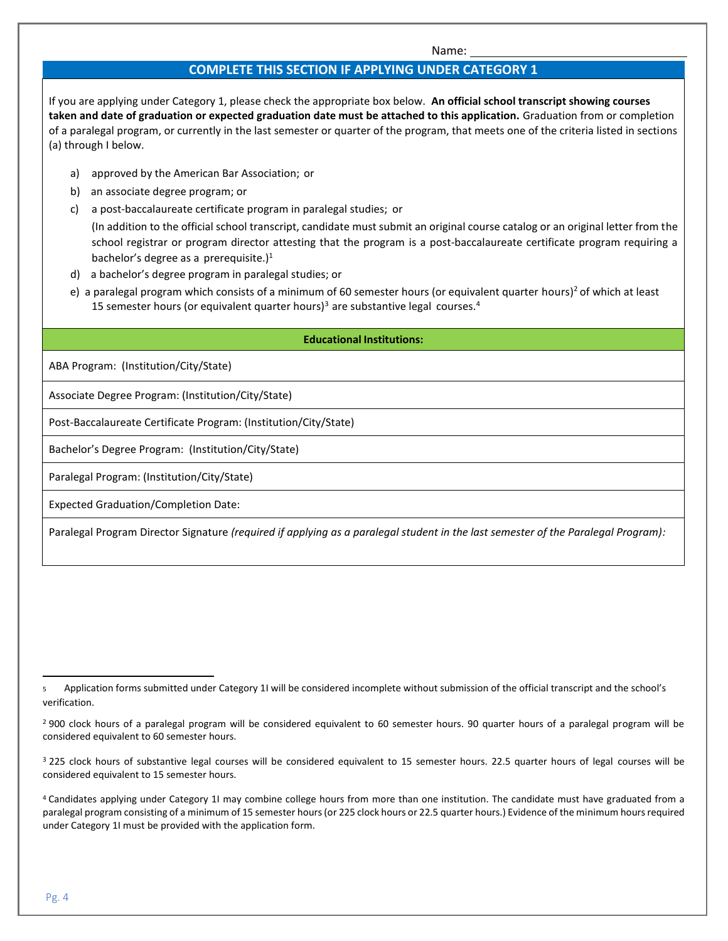Name:

# **COMPLETE THIS SECTION IF APPLYING UNDER CATEGORY 1**

If you are applying under Category 1, please check the appropriate box below. **An official school transcript showing courses taken and date of graduation or expected graduation date must be attached to this application.** Graduation from or completion of a paralegal program, or currently in the last semester or quarter of the program, that meets one of the criteria listed in sections (a) through I below.

- a) approved by the American Bar Association; or
- b) an associate degree program; or
- c) a post-baccalaureate certificate program in paralegal studies; or

(In addition to the official school transcript, candidate must submit an original course catalog or an original letter from the school registrar or program director attesting that the program is a post-baccalaureate certificate program requiring a bachelor's degree as a prerequisite.) $<sup>1</sup>$ </sup>

- d) a bachelor's degree program in paralegal studies; or
- e) a paralegal program which consists of a minimum of 60 semester hours (or equivalent quarter hours)<sup>2</sup> of which at least 15 semester hours (or equivalent quarter hours)<sup>3</sup> are substantive legal courses.<sup>4</sup>

# **Educational Institutions:**

ABA Program: (Institution/City/State)

Associate Degree Program: (Institution/City/State)

Post-Baccalaureate Certificate Program: (Institution/City/State)

Bachelor's Degree Program: (Institution/City/State)

Paralegal Program: (Institution/City/State)

Expected Graduation/Completion Date:

Paralegal Program Director Signature *(required if applying as a paralegal student in the last semester of the Paralegal Program):*

<sup>5</sup> Application forms submitted under Category 1I will be considered incomplete without submission of the official transcript and the school's verification.

<sup>&</sup>lt;sup>2</sup> 900 clock hours of a paralegal program will be considered equivalent to 60 semester hours. 90 quarter hours of a paralegal program will be considered equivalent to 60 semester hours.

<sup>&</sup>lt;sup>3</sup> 225 clock hours of substantive legal courses will be considered equivalent to 15 semester hours. 22.5 quarter hours of legal courses will be considered equivalent to 15 semester hours.

<sup>4</sup>Candidates applying under Category 1I may combine college hours from more than one institution. The candidate must have graduated from a paralegal program consisting of a minimum of 15 semester hours (or 225 clock hours or 22.5 quarter hours.) Evidence of the minimum hours required under Category 1I must be provided with the application form.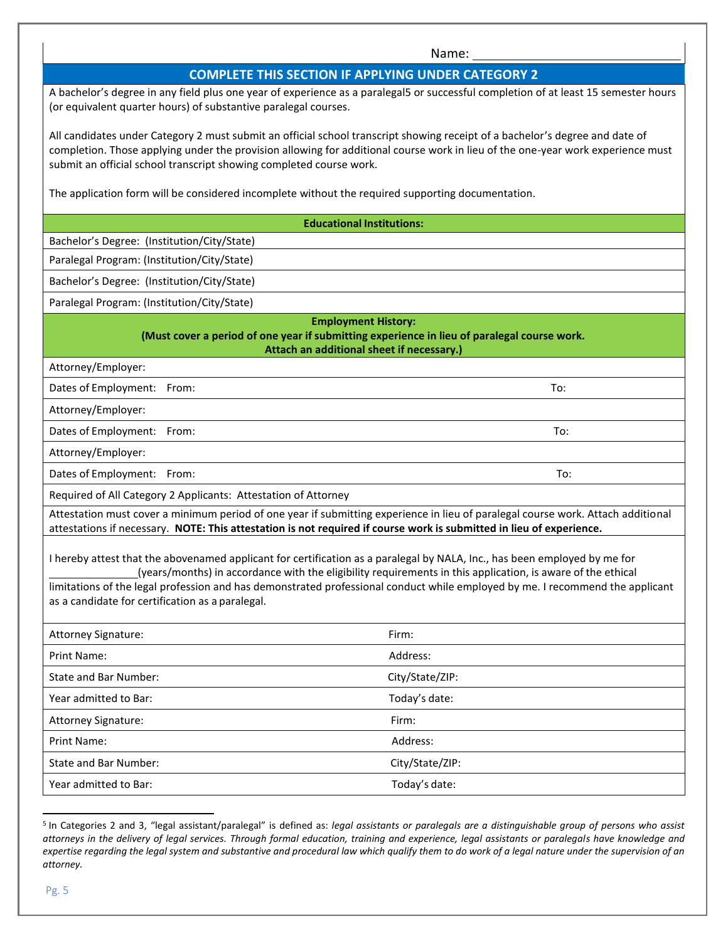#### Name:

#### **COMPLETE THIS SECTION IF APPLYING UNDER CATEGORY 2**

A bachelor's degree in any field plus one year of experience as a paralegal5 or successful completion of at least 15 semester hours (or equivalent quarter hours) of substantive paralegal courses.

All candidates under Category 2 must submit an official school transcript showing receipt of a bachelor's degree and date of completion. Those applying under the provision allowing for additional course work in lieu of the one-year work experience must submit an official school transcript showing completed course work.

The application form will be considered incomplete without the required supporting documentation.

#### **Educational Institutions:**

Bachelor's Degree: (Institution/City/State)

Paralegal Program: (Institution/City/State)

Bachelor's Degree: (Institution/City/State)

Paralegal Program: (Institution/City/State)

#### **Employment History: (Must cover a period of one year if submitting experience in lieu of paralegal course work. Attach an additional sheet if necessary.)**

Attorney/Employer:

Dates of Employment: From: To:

Attorney/Employer:

Dates of Employment: From: To:

Attorney/Employer:

Dates of Employment: From: To:

Required of All Category 2 Applicants: Attestation of Attorney

Attestation must cover a minimum period of one year if submitting experience in lieu of paralegal course work. Attach additional attestations if necessary. **NOTE: This attestation is not required if course work is submitted in lieu of experience.**

I hereby attest that the abovenamed applicant for certification as a paralegal by NALA, Inc., has been employed by me for (years/months) in accordance with the eligibility requirements in this application, is aware of the ethical

limitations of the legal profession and has demonstrated professional conduct while employed by me. I recommend the applicant as a candidate for certification as a paralegal.

| Attorney Signature:          | Firm:           |
|------------------------------|-----------------|
| Print Name:                  | Address:        |
| State and Bar Number:        | City/State/ZIP: |
| Year admitted to Bar:        | Today's date:   |
| Attorney Signature:          | Firm:           |
| Print Name:                  | Address:        |
| <b>State and Bar Number:</b> | City/State/ZIP: |
| Year admitted to Bar:        | Today's date:   |

<sup>5</sup>In Categories 2 and 3, "legal assistant/paralegal" is defined as: *legal assistants or paralegals are a distinguishable group of persons who assist attorneys in the delivery of legal services. Through formal education, training and experience, legal assistants or paralegals have knowledge and expertise regarding the legal system and substantive and procedural law which qualify them to do work of a legal nature under the supervision of an attorney.*